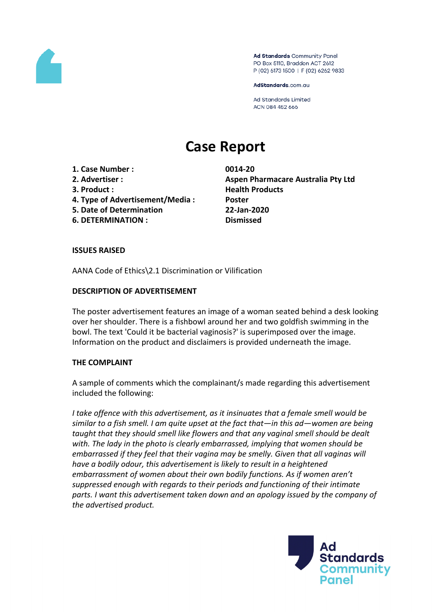

Ad Standards Community Panel PO Box 5110, Braddon ACT 2612 P (02) 6173 1500 | F (02) 6262 9833

AdStandards.com.au

**Ad Standards Limited** ACN 084 452 666

# **Case Report**

- **1. Case Number : 0014-20**
- 
- 
- **4. Type of Advertisement/Media : Poster**
- **5. Date of Determination 22-Jan-2020**
- **6. DETERMINATION : Dismissed**

**2. Advertiser : Aspen Pharmacare Australia Pty Ltd 3. Product : Health Products**

# **ISSUES RAISED**

AANA Code of Ethics\2.1 Discrimination or Vilification

# **DESCRIPTION OF ADVERTISEMENT**

The poster advertisement features an image of a woman seated behind a desk looking over her shoulder. There is a fishbowl around her and two goldfish swimming in the bowl. The text 'Could it be bacterial vaginosis?' is superimposed over the image. Information on the product and disclaimers is provided underneath the image.

## **THE COMPLAINT**

A sample of comments which the complainant/s made regarding this advertisement included the following:

*I take offence with this advertisement, as it insinuates that a female smell would be similar to a fish smell. I am quite upset at the fact that—in this ad—women are being taught that they should smell like flowers and that any vaginal smell should be dealt with. The lady in the photo is clearly embarrassed, implying that women should be embarrassed if they feel that their vagina may be smelly. Given that all vaginas will have a bodily odour, this advertisement is likely to result in a heightened embarrassment of women about their own bodily functions. As if women aren't suppressed enough with regards to their periods and functioning of their intimate parts. I want this advertisement taken down and an apology issued by the company of the advertised product.*

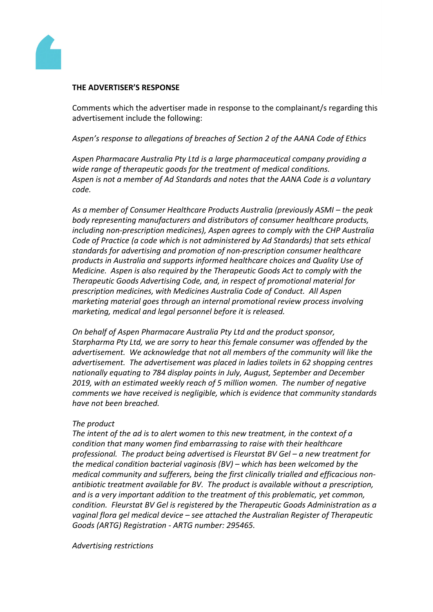

#### **THE ADVERTISER'S RESPONSE**

Comments which the advertiser made in response to the complainant/s regarding this advertisement include the following:

*Aspen's response to allegations of breaches of Section 2 of the AANA Code of Ethics*

*Aspen Pharmacare Australia Pty Ltd is a large pharmaceutical company providing a wide range of therapeutic goods for the treatment of medical conditions. Aspen is not a member of Ad Standards and notes that the AANA Code is a voluntary code.*

*As a member of Consumer Healthcare Products Australia (previously ASMI – the peak body representing manufacturers and distributors of consumer healthcare products, including non-prescription medicines), Aspen agrees to comply with the CHP Australia Code of Practice (a code which is not administered by Ad Standards) that sets ethical standards for advertising and promotion of non-prescription consumer healthcare products in Australia and supports informed healthcare choices and Quality Use of Medicine. Aspen is also required by the Therapeutic Goods Act to comply with the Therapeutic Goods Advertising Code, and, in respect of promotional material for prescription medicines, with Medicines Australia Code of Conduct. All Aspen marketing material goes through an internal promotional review process involving marketing, medical and legal personnel before it is released.*

*On behalf of Aspen Pharmacare Australia Pty Ltd and the product sponsor, Starpharma Pty Ltd, we are sorry to hear this female consumer was offended by the advertisement. We acknowledge that not all members of the community will like the advertisement. The advertisement was placed in ladies toilets in 62 shopping centres nationally equating to 784 display points in July, August, September and December 2019, with an estimated weekly reach of 5 million women. The number of negative comments we have received is negligible, which is evidence that community standards have not been breached.*

## *The product*

*The intent of the ad is to alert women to this new treatment, in the context of a condition that many women find embarrassing to raise with their healthcare professional. The product being advertised is Fleurstat BV Gel – a new treatment for the medical condition bacterial vaginosis (BV) – which has been welcomed by the medical community and sufferers, being the first clinically trialled and efficacious nonantibiotic treatment available for BV. The product is available without a prescription, and is a very important addition to the treatment of this problematic, yet common, condition. Fleurstat BV Gel is registered by the Therapeutic Goods Administration as a vaginal flora gel medical device – see attached the Australian Register of Therapeutic Goods (ARTG) Registration - ARTG number: 295465.*

*Advertising restrictions*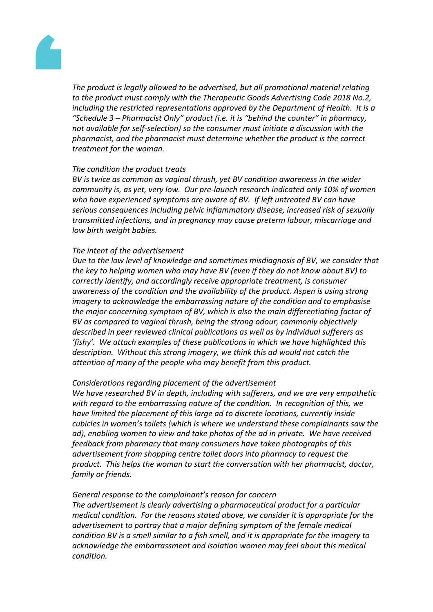

*The product is legally allowed to be advertised, but all promotional material relating to the product must comply with the Therapeutic Goods Advertising Code 2018 No.2, including the restricted representations approved by the Department of Health. It is a "Schedule 3 – Pharmacist Only" product (i.e. it is "behind the counter" in pharmacy, not available for self-selection) so the consumer must initiate a discussion with the pharmacist, and the pharmacist must determine whether the product is the correct treatment for the woman.*

## *The condition the product treats*

*BV is twice as common as vaginal thrush, yet BV condition awareness in the wider community is, as yet, very low. Our pre-launch research indicated only 10% of women who have experienced symptoms are aware of BV. If left untreated BV can have serious consequences including pelvic inflammatory disease, increased risk of sexually transmitted infections, and in pregnancy may cause preterm labour, miscarriage and low birth weight babies.*

#### *The intent of the advertisement*

*Due to the low level of knowledge and sometimes misdiagnosis of BV, we consider that the key to helping women who may have BV (even if they do not know about BV) to correctly identify, and accordingly receive appropriate treatment, is consumer awareness of the condition and the availability of the product. Aspen is using strong imagery to acknowledge the embarrassing nature of the condition and to emphasise the major concerning symptom of BV, which is also the main differentiating factor of BV as compared to vaginal thrush, being the strong odour, commonly objectively described in peer reviewed clinical publications as well as by individual sufferers as 'fishy'. We attach examples of these publications in which we have highlighted this description. Without this strong imagery, we think this ad would not catch the attention of many of the people who may benefit from this product.*

## *Considerations regarding placement of the advertisement*

*We have researched BV in depth, including with sufferers, and we are very empathetic with regard to the embarrassing nature of the condition. In recognition of this, we have limited the placement of this large ad to discrete locations, currently inside cubicles in women's toilets (which is where we understand these complainants saw the ad), enabling women to view and take photos of the ad in private. We have received feedback from pharmacy that many consumers have taken photographs of this advertisement from shopping centre toilet doors into pharmacy to request the product. This helps the woman to start the conversation with her pharmacist, doctor, family or friends.*

#### *General response to the complainant's reason for concern*

*The advertisement is clearly advertising a pharmaceutical product for a particular medical condition. For the reasons stated above, we consider it is appropriate for the advertisement to portray that a major defining symptom of the female medical condition BV is a smell similar to a fish smell, and it is appropriate for the imagery to acknowledge the embarrassment and isolation women may feel about this medical condition.*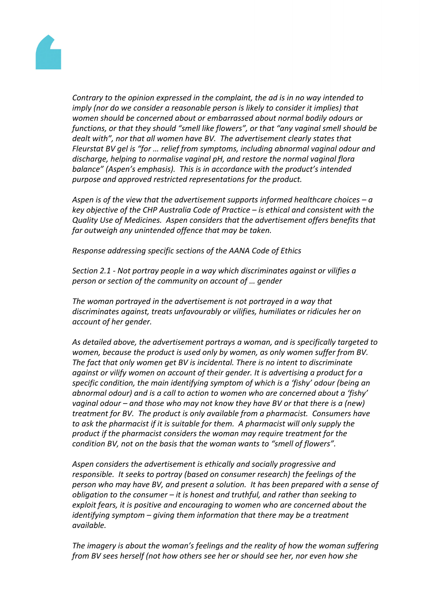

*Contrary to the opinion expressed in the complaint, the ad is in no way intended to imply (nor do we consider a reasonable person is likely to consider it implies) that women should be concerned about or embarrassed about normal bodily odours or functions, or that they should "smell like flowers", or that "any vaginal smell should be dealt with", nor that all women have BV. The advertisement clearly states that Fleurstat BV gel is "for … relief from symptoms, including abnormal vaginal odour and discharge, helping to normalise vaginal pH, and restore the normal vaginal flora balance" (Aspen's emphasis). This is in accordance with the product's intended purpose and approved restricted representations for the product.*

*Aspen is of the view that the advertisement supports informed healthcare choices – a key objective of the CHP Australia Code of Practice – is ethical and consistent with the Quality Use of Medicines. Aspen considers that the advertisement offers benefits that far outweigh any unintended offence that may be taken.*

*Response addressing specific sections of the AANA Code of Ethics*

*Section 2.1 - Not portray people in a way which discriminates against or vilifies a person or section of the community on account of … gender*

*The woman portrayed in the advertisement is not portrayed in a way that discriminates against, treats unfavourably or vilifies, humiliates or ridicules her on account of her gender.*

*As detailed above, the advertisement portrays a woman, and is specifically targeted to women, because the product is used only by women, as only women suffer from BV. The fact that only women get BV is incidental. There is no intent to discriminate against or vilify women on account of their gender. It is advertising a product for a specific condition, the main identifying symptom of which is a 'fishy' odour (being an abnormal odour) and is a call to action to women who are concerned about a 'fishy' vaginal odour – and those who may not know they have BV or that there is a (new) treatment for BV. The product is only available from a pharmacist. Consumers have to ask the pharmacist if it is suitable for them. A pharmacist will only supply the product if the pharmacist considers the woman may require treatment for the condition BV, not on the basis that the woman wants to "smell of flowers".*

*Aspen considers the advertisement is ethically and socially progressive and responsible. It seeks to portray (based on consumer research) the feelings of the person who may have BV, and present a solution. It has been prepared with a sense of obligation to the consumer – it is honest and truthful, and rather than seeking to exploit fears, it is positive and encouraging to women who are concerned about the identifying symptom – giving them information that there may be a treatment available.*

*The imagery is about the woman's feelings and the reality of how the woman suffering from BV sees herself (not how others see her or should see her, nor even how she*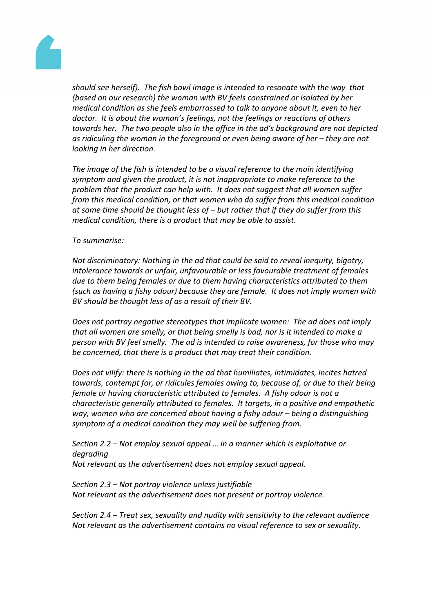

*should see herself). The fish bowl image is intended to resonate with the way that (based on our research) the woman with BV feels constrained or isolated by her medical condition as she feels embarrassed to talk to anyone about it, even to her doctor. It is about the woman's feelings, not the feelings or reactions of others towards her. The two people also in the office in the ad's background are not depicted as ridiculing the woman in the foreground or even being aware of her – they are not looking in her direction.*

*The image of the fish is intended to be a visual reference to the main identifying symptom and given the product, it is not inappropriate to make reference to the problem that the product can help with. It does not suggest that all women suffer from this medical condition, or that women who do suffer from this medical condition at some time should be thought less of – but rather that if they do suffer from this medical condition, there is a product that may be able to assist.*

#### *To summarise:*

*Not discriminatory: Nothing in the ad that could be said to reveal inequity, bigotry, intolerance towards or unfair, unfavourable or less favourable treatment of females due to them being females or due to them having characteristics attributed to them (such as having a fishy odour) because they are female. It does not imply women with BV should be thought less of as a result of their BV.*

*Does not portray negative stereotypes that implicate women: The ad does not imply that all women are smelly, or that being smelly is bad, nor is it intended to make a person with BV feel smelly. The ad is intended to raise awareness, for those who may be concerned, that there is a product that may treat their condition.*

*Does not vilify: there is nothing in the ad that humiliates, intimidates, incites hatred towards, contempt for, or ridicules females owing to, because of, or due to their being female or having characteristic attributed to females. A fishy odour is not a characteristic generally attributed to females. It targets, in a positive and empathetic way, women who are concerned about having a fishy odour – being a distinguishing symptom of a medical condition they may well be suffering from.*

*Section 2.2 – Not employ sexual appeal … in a manner which is exploitative or degrading Not relevant as the advertisement does not employ sexual appeal.*

*Section 2.3 – Not portray violence unless justifiable Not relevant as the advertisement does not present or portray violence.*

*Section 2.4 – Treat sex, sexuality and nudity with sensitivity to the relevant audience Not relevant as the advertisement contains no visual reference to sex or sexuality.*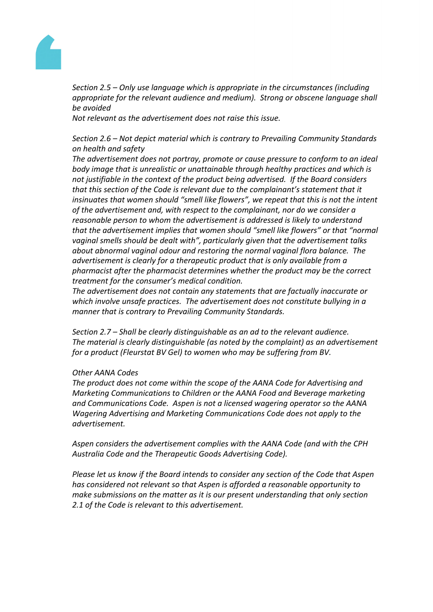

*Section 2.5 – Only use language which is appropriate in the circumstances (including appropriate for the relevant audience and medium). Strong or obscene language shall be avoided*

*Not relevant as the advertisement does not raise this issue.*

*Section 2.6 – Not depict material which is contrary to Prevailing Community Standards on health and safety*

*The advertisement does not portray, promote or cause pressure to conform to an ideal body image that is unrealistic or unattainable through healthy practices and which is not justifiable in the context of the product being advertised. If the Board considers that this section of the Code is relevant due to the complainant's statement that it insinuates that women should "smell like flowers", we repeat that this is not the intent of the advertisement and, with respect to the complainant, nor do we consider a reasonable person to whom the advertisement is addressed is likely to understand that the advertisement implies that women should "smell like flowers" or that "normal vaginal smells should be dealt with", particularly given that the advertisement talks about abnormal vaginal odour and restoring the normal vaginal flora balance. The advertisement is clearly for a therapeutic product that is only available from a pharmacist after the pharmacist determines whether the product may be the correct treatment for the consumer's medical condition.*

*The advertisement does not contain any statements that are factually inaccurate or which involve unsafe practices. The advertisement does not constitute bullying in a manner that is contrary to Prevailing Community Standards.*

*Section 2.7 – Shall be clearly distinguishable as an ad to the relevant audience. The material is clearly distinguishable (as noted by the complaint) as an advertisement for a product (Fleurstat BV Gel) to women who may be suffering from BV.*

## *Other AANA Codes*

*The product does not come within the scope of the AANA Code for Advertising and Marketing Communications to Children or the AANA Food and Beverage marketing and Communications Code. Aspen is not a licensed wagering operator so the AANA Wagering Advertising and Marketing Communications Code does not apply to the advertisement.*

*Aspen considers the advertisement complies with the AANA Code (and with the CPH Australia Code and the Therapeutic Goods Advertising Code).*

*Please let us know if the Board intends to consider any section of the Code that Aspen has considered not relevant so that Aspen is afforded a reasonable opportunity to make submissions on the matter as it is our present understanding that only section 2.1 of the Code is relevant to this advertisement.*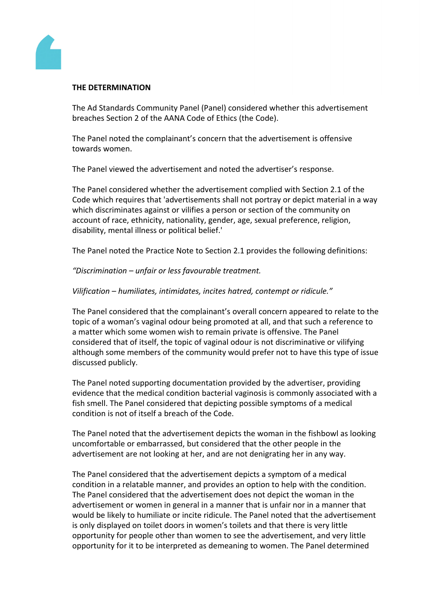

#### **THE DETERMINATION**

The Ad Standards Community Panel (Panel) considered whether this advertisement breaches Section 2 of the AANA Code of Ethics (the Code).

The Panel noted the complainant's concern that the advertisement is offensive towards women.

The Panel viewed the advertisement and noted the advertiser's response.

The Panel considered whether the advertisement complied with Section 2.1 of the Code which requires that 'advertisements shall not portray or depict material in a way which discriminates against or vilifies a person or section of the community on account of race, ethnicity, nationality, gender, age, sexual preference, religion, disability, mental illness or political belief.'

The Panel noted the Practice Note to Section 2.1 provides the following definitions:

*"Discrimination – unfair or less favourable treatment.*

#### *Vilification – humiliates, intimidates, incites hatred, contempt or ridicule."*

The Panel considered that the complainant's overall concern appeared to relate to the topic of a woman's vaginal odour being promoted at all, and that such a reference to a matter which some women wish to remain private is offensive. The Panel considered that of itself, the topic of vaginal odour is not discriminative or vilifying although some members of the community would prefer not to have this type of issue discussed publicly.

The Panel noted supporting documentation provided by the advertiser, providing evidence that the medical condition bacterial vaginosis is commonly associated with a fish smell. The Panel considered that depicting possible symptoms of a medical condition is not of itself a breach of the Code.

The Panel noted that the advertisement depicts the woman in the fishbowl as looking uncomfortable or embarrassed, but considered that the other people in the advertisement are not looking at her, and are not denigrating her in any way.

The Panel considered that the advertisement depicts a symptom of a medical condition in a relatable manner, and provides an option to help with the condition. The Panel considered that the advertisement does not depict the woman in the advertisement or women in general in a manner that is unfair nor in a manner that would be likely to humiliate or incite ridicule. The Panel noted that the advertisement is only displayed on toilet doors in women's toilets and that there is very little opportunity for people other than women to see the advertisement, and very little opportunity for it to be interpreted as demeaning to women. The Panel determined